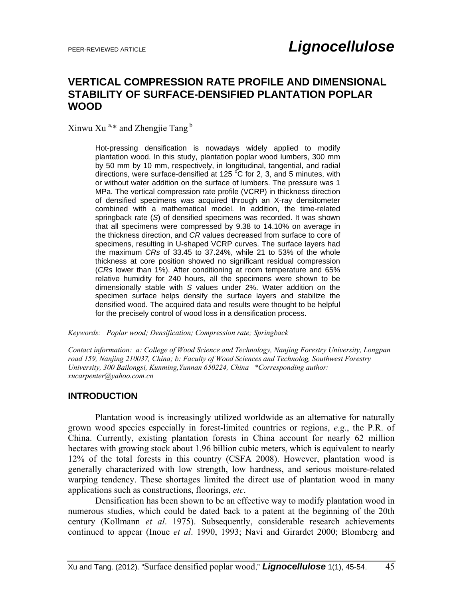# **VERTICAL COMPRESSION RATE PROFILE AND DIMENSIONAL STABILITY OF SURFACE-DENSIFIED PLANTATION POPLAR WOOD**

Xinwu Xu<sup>a,\*</sup> and Zhengjie Tang<sup>b</sup>

Hot-pressing densification is nowadays widely applied to modify plantation wood. In this study, plantation poplar wood lumbers, 300 mm by 50 mm by 10 mm, respectively, in longitudinal, tangential, and radial directions, were surface-densified at 125  $\degree$ C for 2, 3, and 5 minutes, with or without water addition on the surface of lumbers. The pressure was 1 MPa. The vertical compression rate profile (VCRP) in thickness direction of densified specimens was acquired through an X-ray densitometer combined with a mathematical model. In addition, the time-related springback rate (*S*) of densified specimens was recorded. It was shown that all specimens were compressed by 9.38 to 14.10% on average in the thickness direction, and *CR* values decreased from surface to core of specimens, resulting in U-shaped VCRP curves. The surface layers had the maximum *CRs* of 33.45 to 37.24%, while 21 to 53% of the whole thickness at core position showed no significant residual compression (*CRs* lower than 1%). After conditioning at room temperature and 65% relative humidity for 240 hours, all the specimens were shown to be dimensionally stable with *S* values under 2%. Water addition on the specimen surface helps densify the surface layers and stabilize the densified wood. The acquired data and results were thought to be helpful for the precisely control of wood loss in a densification process.

*Keywords: Poplar wood; Densification; Compression rate; Springback* 

*Contact information: a: College of Wood Science and Technology, Nanjing Forestry University, Longpan road 159, Nanjing 210037, China; b: Faculty of Wood Sciences and Technolog, Southwest Forestry University, 300 Bailongsi, Kunming,Yunnan 650224, China \*Corresponding author: xucarpenter@yahoo.com.cn* 

# **INTRODUCTION**

 Plantation wood is increasingly utilized worldwide as an alternative for naturally grown wood species especially in forest-limited countries or regions, *e.g*., the P.R. of China. Currently, existing plantation forests in China account for nearly 62 million hectares with growing stock about 1.96 billion cubic meters, which is equivalent to nearly 12% of the total forests in this country (CSFA 2008). However, plantation wood is generally characterized with low strength, low hardness, and serious moisture-related warping tendency. These shortages limited the direct use of plantation wood in many applications such as constructions, floorings, *etc*.

Densification has been shown to be an effective way to modify plantation wood in numerous studies, which could be dated back to a patent at the beginning of the 20th century (Kollmann *et al*. 1975). Subsequently, considerable research achievements continued to appear (Inoue *et al*. 1990, 1993; Navi and Girardet 2000; Blomberg and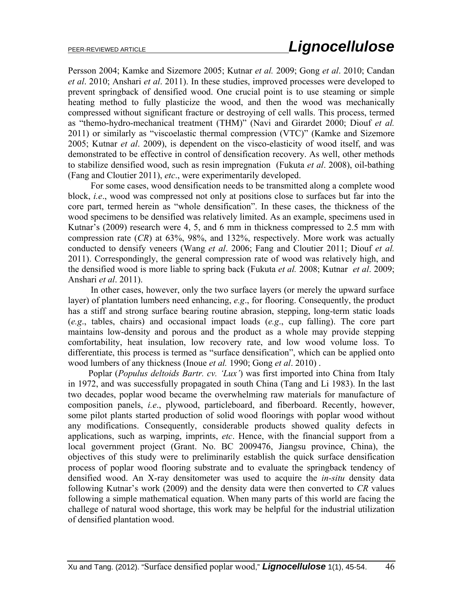Persson 2004; Kamke and Sizemore 2005; Kutnar *et al.* 2009; Gong *et al*. 2010; Candan *et al*. 2010; Anshari *et al*. 2011). In these studies, improved processes were developed to prevent springback of densified wood. One crucial point is to use steaming or simple heating method to fully plasticize the wood, and then the wood was mechanically compressed without significant fracture or destroying of cell walls. This process, termed as "themo-hydro-mechanical treatment (THM)" (Navi and Girardet 2000; Diouf *et al.* 2011) or similarly as "viscoelastic thermal compression (VTC)" (Kamke and Sizemore 2005; Kutnar *et al*. 2009), is dependent on the visco-elasticity of wood itself, and was demonstrated to be effective in control of densification recovery. As well, other methods to stabilize densified wood, such as resin impregnation (Fukuta *et al*. 2008), oil-bathing (Fang and Cloutier 2011), *etc*., were experimentarily developed.

For some cases, wood densification needs to be transmitted along a complete wood block, *i.e*., wood was compressed not only at positions close to surfaces but far into the core part, termed herein as "whole densification". In these cases, the thickness of the wood specimens to be densified was relatively limited. As an example, specimens used in Kutnar's (2009) research were 4, 5, and 6 mm in thickness compressed to 2.5 mm with compression rate (*CR*) at 63%, 98%, and 132%, respectively. More work was actually conducted to densify veneers (Wang *et al*. 2006; Fang and Cloutier 2011; Diouf *et al.* 2011). Correspondingly, the general compression rate of wood was relatively high, and the densified wood is more liable to spring back (Fukuta *et al.* 2008; Kutnar *et al*. 2009; Anshari *et al*. 2011).

In other cases, however, only the two surface layers (or merely the upward surface layer) of plantation lumbers need enhancing, *e.g*., for flooring. Consequently, the product has a stiff and strong surface bearing routine abrasion, stepping, long-term static loads (*e.g*., tables, chairs) and occasional impact loads (*e.g*., cup falling). The core part maintains low-density and porous and the product as a whole may provide stepping comfortability, heat insulation, low recovery rate, and low wood volume loss. To differentiate, this process is termed as "surface densification", which can be applied onto wood lumbers of any thickness (Inoue *et al.* 1990; Gong *et al*. 2010) .

Poplar (*Populus deltoids Bartr. cv. 'Lux'*) was first imported into China from Italy in 1972, and was successfully propagated in south China (Tang and Li 1983). In the last two decades, poplar wood became the overwhelming raw materials for manufacture of composition panels, *i.e*., plywood, particleboard, and fiberboard. Recently, however, some pilot plants started production of solid wood floorings with poplar wood without any modifications. Consequently, considerable products showed quality defects in applications, such as warping, imprints, *etc*. Hence, with the financial support from a local government project (Grant. No. BC 2009476, Jiangsu province, China), the objectives of this study were to preliminarily establish the quick surface densification process of poplar wood flooring substrate and to evaluate the springback tendency of densified wood. An X-ray densitometer was used to acquire the *in-situ* density data following Kutnar's work (2009) and the density data were then converted to *CR* values following a simple mathematical equation. When many parts of this world are facing the challege of natural wood shortage, this work may be helpful for the industrial utilization of densified plantation wood.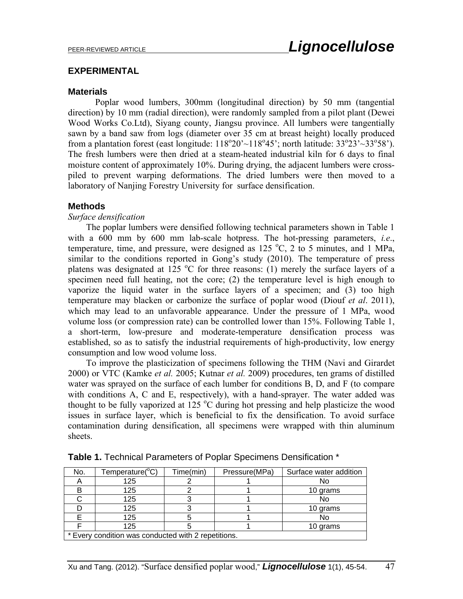## **EXPERIMENTAL**

## **Materials**

 Poplar wood lumbers, 300mm (longitudinal direction) by 50 mm (tangential direction) by 10 mm (radial direction), were randomly sampled from a pilot plant (Dewei Wood Works Co.Ltd), Siyang county, Jiangsu province. All lumbers were tangentially sawn by a band saw from logs (diameter over 35 cm at breast height) locally produced from a plantation forest (east longitude:  $118^{\circ}20'$  ~  $118^{\circ}45'$ ; north latitude:  $33^{\circ}23'$  ~ $33^{\circ}58'$ ). The fresh lumbers were then dried at a steam-heated industrial kiln for 6 days to final moisture content of approximately 10%. During drying, the adjacent lumbers were crosspiled to prevent warping deformations. The dried lumbers were then moved to a laboratory of Nanjing Forestry University for surface densification.

## **Methods**

## *Surface densification*

The poplar lumbers were densified following technical parameters shown in Table 1 with a 600 mm by 600 mm lab-scale hotpress. The hot-pressing parameters, *i.e*., temperature, time, and pressure, were designed as  $125\text{ °C}$ , 2 to 5 minutes, and 1 MPa, similar to the conditions reported in Gong's study (2010). The temperature of press platens was designated at 125  $^{\circ}$ C for three reasons: (1) merely the surface layers of a specimen need full heating, not the core; (2) the temperature level is high enough to vaporize the liquid water in the surface layers of a specimen; and (3) too high temperature may blacken or carbonize the surface of poplar wood (Diouf *et al*. 2011), which may lead to an unfavorable appearance. Under the pressure of 1 MPa, wood volume loss (or compression rate) can be controlled lower than 15%. Following Table 1, a short-term, low-presure and moderate-temperature densification process was established, so as to satisfy the industrial requirements of high-productivity, low energy consumption and low wood volume loss.

To improve the plasticization of specimens following the THM (Navi and Girardet 2000) or VTC (Kamke *et al.* 2005; Kutnar *et al.* 2009) procedures, ten grams of distilled water was sprayed on the surface of each lumber for conditions B, D, and F (to compare with conditions A, C and E, respectively), with a hand-sprayer. The water added was thought to be fully vaporized at  $125 \degree C$  during hot pressing and help plasticize the wood issues in surface layer, which is beneficial to fix the densification. To avoid surface contamination during densification, all specimens were wrapped with thin aluminum sheets.

| No.                                                 | Temperature(°C) | Time(min) | Pressure(MPa) | Surface water addition |  |  |  |  |
|-----------------------------------------------------|-----------------|-----------|---------------|------------------------|--|--|--|--|
|                                                     | 125             |           |               | No                     |  |  |  |  |
|                                                     | 125             |           |               | 10 grams               |  |  |  |  |
|                                                     | 125             |           |               | No                     |  |  |  |  |
|                                                     | 125             |           |               | 10 grams               |  |  |  |  |
|                                                     | 125             |           |               | No                     |  |  |  |  |
|                                                     | 125             |           |               | 10 grams               |  |  |  |  |
| * Every condition was conducted with 2 repetitions. |                 |           |               |                        |  |  |  |  |

**Table 1.** Technical Parameters of Poplar Specimens Densification \*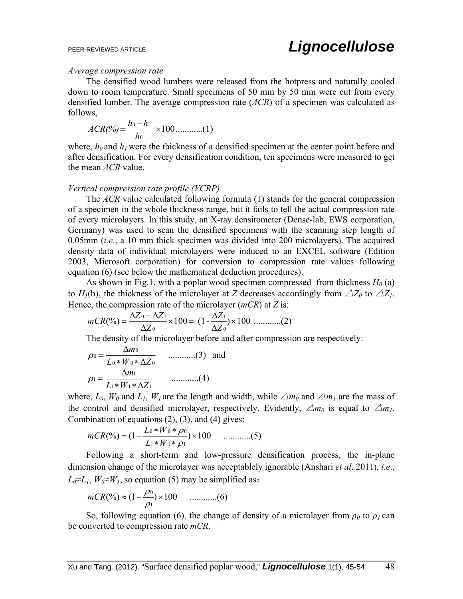#### *Average compression rate*

The densified wood lumbers were released from the hotpress and naturally cooled down to room temperature. Small specimens of 50 mm by 50 mm were cut from every densified lumber. The average compression rate (*ACR*) of a specimen was calculated as follows,

$$
ACR(\%) = \frac{h_0 - h_1}{h_0} \times 100 \dots \dots \dots (1)
$$

where,  $h_0$  and  $h_1$  were the thickness of a densified specimen at the center point before and after densification. For every densification condition, ten specimens were measured to get the mean *ACR* value.

#### *Vertical compression rate profile (VCRP)*

The *ACR* value calculated following formula (1) stands for the general compression of a specimen in the whole thickness range, but it fails to tell the actual compression rate of every microlayers. In this study, an X-ray densitometer (Dense-lab, EWS corporation, Germany) was used to scan the densified specimens with the scanning step length of 0.05mm (*i.e*., a 10 mm thick specimen was divided into 200 microlayers). The acquired density data of individual microlayers were induced to an EXCEL software (Edition 2003, Microsoft corporation) for conversion to compression rate values following equation (6) (see below the mathematical deduction procedures).

As shown in Fig.1, with a poplar wood specimen compressed from thickness  $H_0$  (a) to  $H_1(b)$ , the thickness of the microlayer at *Z* decreases accordingly from  $\triangle Z_0$  to  $\triangle Z_1$ . Hence, the compression rate of the microlayer (*mCR*) at *Z* is:

$$
mCR(\%) = \frac{\Delta Z_0 - \Delta Z_1}{\Delta Z_0} \times 100 = (1 - \frac{\Delta Z_1}{\Delta Z_0}) \times 100 \dots \dots (2)
$$

The density of the microlayer before and after compression are respectively:

$$
\rho_0 = \frac{\Delta m_0}{L_0 * W_0 * \Delta Z_0} \qquad \dots \dots \dots \dots (3) \quad \text{and}
$$

$$
\rho_1 = \frac{\Delta m_1}{L_1 * W_1 * \Delta Z_1} \qquad \dots \dots \dots \dots (4)
$$

where,  $L_0$ ,  $W_0$  and  $L_1$ ,  $W_1$  are the length and width, while  $\Delta m_0$  and  $\Delta m_1$  are the mass of the control and densified microlayer, respectively. Evidently,  $\Delta m_0$  is equal to  $\Delta m_1$ . Combination of equations (2), (3), and (4) gives:

$$
mCR(\%) = (1 - \frac{L_0 * W_0 * \rho_0}{L_1 * W_1 * \rho_1}) \times 100 \quad \dots \dots \dots \dots (5)
$$

Following a short-term and low-pressure densification process, the in-plane dimension change of the microlayer was acceptablely ignorable (Anshari *et al*. 2011), *i.e*.,  $L_0 \approx L_1$ ,  $W_0 \approx W_1$ , so equation (5) may be simplified as:

$$
mCR(\%) \approx (1 - \frac{\rho_0}{\rho_1}) \times 100 \quad \dots \dots \dots (6)
$$

So, following equation (6), the change of density of a microlayer from  $\rho_0$  to  $\rho_1$  can be converted to compression rate *mCR*.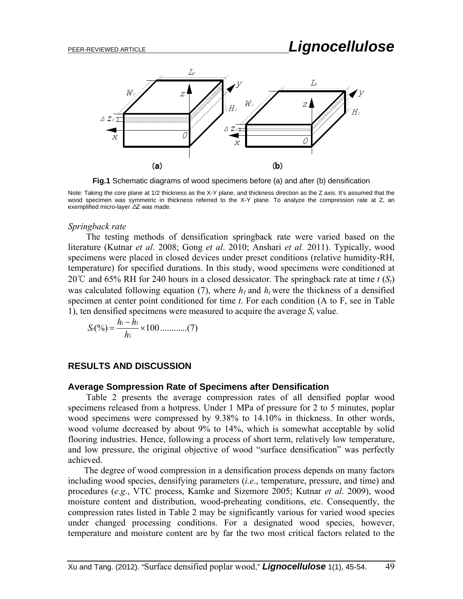

**Fig.1** Schematic diagrams of wood specimens before (a) and after (b) densification

#### *Springback rate*

The testing methods of densification springback rate were varied based on the literature (Kutnar *et al*. 2008; Gong *et al*. 2010; Anshari *et al.* 2011). Typically, wood specimens were placed in closed devices under preset conditions (relative humidity-RH, temperature) for specified durations. In this study, wood specimens were conditioned at 20℃ and 65% RH for 240 hours in a closed dessicator. The springback rate at time *t* (*St*) was calculated following equation (7), where  $h_l$  and  $h_t$  were the thickness of a densified specimen at center point conditioned for time *t*. For each condition (A to F, see in Table 1), ten densified specimens were measured to acquire the average *St* value.

$$
S_t(\%) = \frac{h_t - h_1}{h_1} \times 100 \dots \dots \dots \dots (7)
$$

## **RESULTS AND DISCUSSION**

### **Average Sompression Rate of Specimens after Densification**

Table 2 presents the average compression rates of all densified poplar wood specimens released from a hotpress. Under 1 MPa of pressure for 2 to 5 minutes, poplar wood specimens were compressed by 9.38% to 14.10% in thickness. In other words, wood volume decreased by about 9% to 14%, which is somewhat acceptable by solid flooring industries. Hence, following a process of short term, relatively low temperature, and low pressure, the original objective of wood "surface densification" was perfectly achieved.

The degree of wood compression in a densification process depends on many factors including wood species, densifying parameters (*i.e*., temperature, pressure, and time) and procedures (*e.g*., VTC process, Kamke and Sizemore 2005; Kutnar *et al*. 2009), wood moisture content and distribution, wood-preheating conditions, etc. Consequently, the compression rates listed in Table 2 may be significantly various for varied wood species under changed processing conditions. For a designated wood species, however, temperature and moisture content are by far the two most critical factors related to the

Note: Taking the core plane at 1/2 thickness as the X-Y plane, and thickness direction as the Z axis. It's assumed that the wood specimen was symmetric in thickness referred to the X-Y plane. To analyze the compression rate at Z, an exemplified micro-layer △Z was made.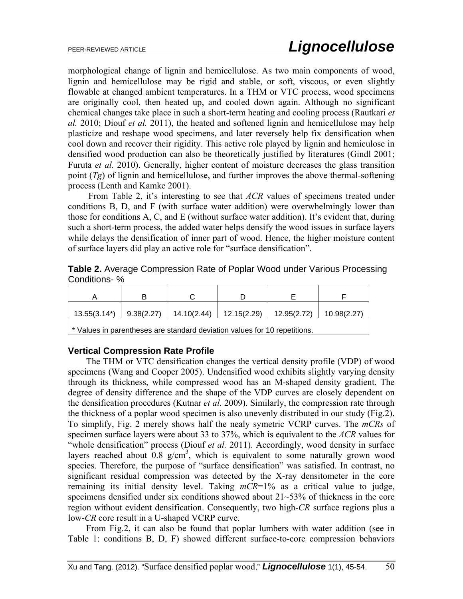morphological change of lignin and hemicellulose. As two main components of wood, lignin and hemicellulose may be rigid and stable, or soft, viscous, or even slightly flowable at changed ambient temperatures. In a THM or VTC process, wood specimens are originally cool, then heated up, and cooled down again. Although no significant chemical changes take place in such a short-term heating and cooling process (Rautkari *et al.* 2010; Diouf *et al.* 2011), the heated and softened lignin and hemicellulose may help plasticize and reshape wood specimens, and later reversely help fix densification when cool down and recover their rigidity. This active role played by lignin and hemiculose in densified wood production can also be theoretically justified by literatures (Gindl 2001; Furuta *et al.* 2010). Generally, higher content of moisture decreases the glass transition point (*Tg*) of lignin and hemicellulose, and further improves the above thermal-softening process (Lenth and Kamke 2001).

From Table 2, it's interesting to see that *ACR* values of specimens treated under conditions B, D, and F (with surface water addition) were overwhelmingly lower than those for conditions A, C, and E (without surface water addition). It's evident that, during such a short-term process, the added water helps densify the wood issues in surface layers while delays the densification of inner part of wood. Hence, the higher moisture content of surface layers did play an active role for "surface densification".

**Table 2.** Average Compression Rate of Poplar Wood under Various Processing Conditions- %

| А                                                                         |            |             |                               |  |             |  |  |  |  |
|---------------------------------------------------------------------------|------------|-------------|-------------------------------|--|-------------|--|--|--|--|
| $13.55(3.14^*)$                                                           | 9.38(2.27) | 14.10(2.44) | $12.15(2.29)$   $12.95(2.72)$ |  | 10.98(2.27) |  |  |  |  |
| * Values in parentheses are standard deviation values for 10 repetitions. |            |             |                               |  |             |  |  |  |  |

## **Vertical Compression Rate Profile**

The THM or VTC densification changes the vertical density profile (VDP) of wood specimens (Wang and Cooper 2005). Undensified wood exhibits slightly varying density through its thickness, while compressed wood has an M-shaped density gradient. The degree of density difference and the shape of the VDP curves are closely dependent on the densification procedures (Kutnar *et al.* 2009). Similarly, the compression rate through the thickness of a poplar wood specimen is also unevenly distributed in our study (Fig.2). To simplify, Fig. 2 merely shows half the nealy symetric VCRP curves. The *mCRs* of specimen surface layers were about 33 to 37%, which is equivalent to the *ACR* values for "whole densification" process (Diouf *et al.* 2011). Accordingly, wood density in surface layers reached about  $0.8 \text{ g/cm}^3$ , which is equivalent to some naturally grown wood species. Therefore, the purpose of "surface densification" was satisfied. In contrast, no significant residual compression was detected by the X-ray densitometer in the core remaining its initial density level. Taking *mCR*=1% as a critical value to judge, specimens densified under six conditions showed about 21~53% of thickness in the core region without evident densification. Consequently, two high-*CR* surface regions plus a low-*CR* core result in a U-shaped VCRP curve.

From Fig.2, it can also be found that poplar lumbers with water addition (see in Table 1: conditions B, D, F) showed different surface-to-core compression behaviors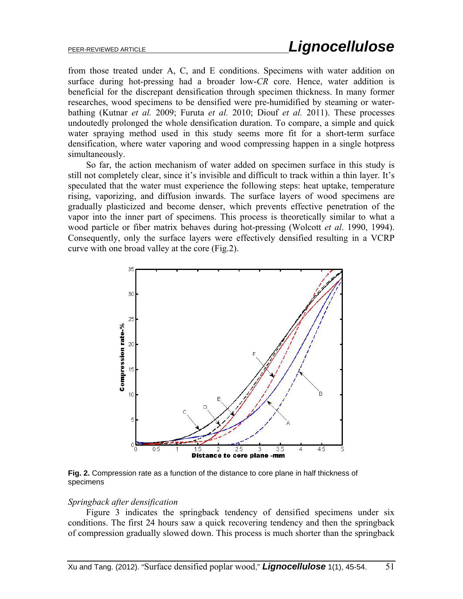from those treated under A, C, and E conditions. Specimens with water addition on surface during hot-pressing had a broader low-*CR* core. Hence, water addition is beneficial for the discrepant densification through specimen thickness. In many former researches, wood specimens to be densified were pre-humidified by steaming or waterbathing (Kutnar *et al.* 2009; Furuta *et al.* 2010; Diouf *et al.* 2011). These processes undoutedly prolonged the whole densification duration. To compare, a simple and quick water spraying method used in this study seems more fit for a short-term surface densification, where water vaporing and wood compressing happen in a single hotpress simultaneously.

So far, the action mechanism of water added on specimen surface in this study is still not completely clear, since it's invisible and difficult to track within a thin layer. It's speculated that the water must experience the following steps: heat uptake, temperature rising, vaporizing, and diffusion inwards. The surface layers of wood specimens are gradually plasticized and become denser, which prevents effective penetration of the vapor into the inner part of specimens. This process is theoretically similar to what a wood particle or fiber matrix behaves during hot-pressing (Wolcott *et al*. 1990, 1994). Consequently, only the surface layers were effectively densified resulting in a VCRP curve with one broad valley at the core (Fig.2).



**Fig. 2.** Compression rate as a function of the distance to core plane in half thickness of specimens

#### *Springback after densification*

Figure 3 indicates the springback tendency of densified specimens under six conditions. The first 24 hours saw a quick recovering tendency and then the springback of compression gradually slowed down. This process is much shorter than the springback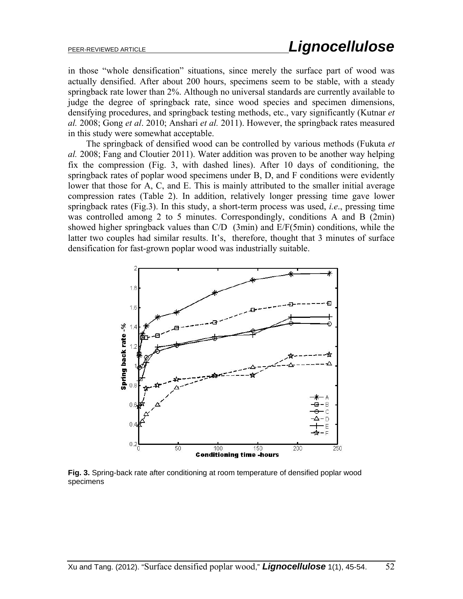in those "whole densification" situations, since merely the surface part of wood was actually densified. After about 200 hours, specimens seem to be stable, with a steady springback rate lower than 2%. Although no universal standards are currently available to judge the degree of springback rate, since wood species and specimen dimensions, densifying procedures, and springback testing methods, etc., vary significantly (Kutnar *et al.* 2008; Gong *et al*. 2010; Anshari *et al.* 2011). However, the springback rates measured in this study were somewhat acceptable.

The springback of densified wood can be controlled by various methods (Fukuta *et al.* 2008; Fang and Cloutier 2011). Water addition was proven to be another way helping fix the compression (Fig. 3, with dashed lines). After 10 days of conditioning, the springback rates of poplar wood specimens under B, D, and F conditions were evidently lower that those for A, C, and E. This is mainly attributed to the smaller initial average compression rates (Table 2). In addition, relatively longer pressing time gave lower springback rates (Fig.3). In this study, a short-term process was used, *i.e*., pressing time was controlled among 2 to 5 minutes. Correspondingly, conditions A and B (2min) showed higher springback values than C/D (3min) and E/F(5min) conditions, while the latter two couples had similar results. It's, therefore, thought that 3 minutes of surface densification for fast-grown poplar wood was industrially suitable.



**Fig. 3.** Spring-back rate after conditioning at room temperature of densified poplar wood specimens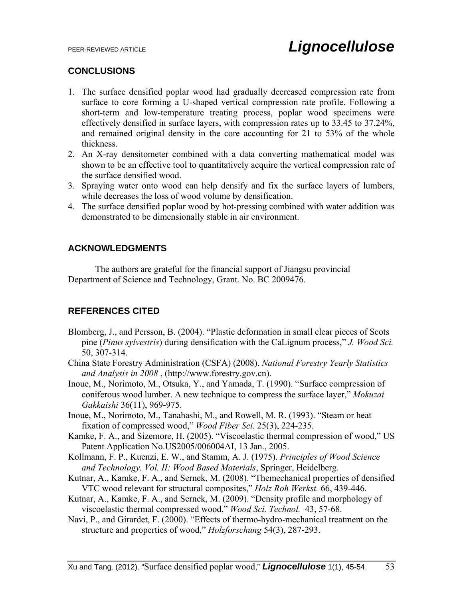## **CONCLUSIONS**

- 1. The surface densified poplar wood had gradually decreased compression rate from surface to core forming a U-shaped vertical compression rate profile. Following a short-term and low-temperature treating process, poplar wood specimens were effectively densified in surface layers, with compression rates up to 33.45 to 37.24%, and remained original density in the core accounting for 21 to 53% of the whole thickness.
- 2. An X-ray densitometer combined with a data converting mathematical model was shown to be an effective tool to quantitatively acquire the vertical compression rate of the surface densified wood.
- 3. Spraying water onto wood can help densify and fix the surface layers of lumbers, while decreases the loss of wood volume by densification.
- 4. The surface densified poplar wood by hot-pressing combined with water addition was demonstrated to be dimensionally stable in air environment.

## **ACKNOWLEDGMENTS**

 The authors are grateful for the financial support of Jiangsu provincial Department of Science and Technology, Grant. No. BC 2009476.

# **REFERENCES CITED**

- Blomberg, J., and Persson, B. (2004). "Plastic deformation in small clear pieces of Scots pine (*Pinus sylvestris*) during densification with the CaLignum process," *J. Wood Sci.* 50, 307-314.
- China State Forestry Administration (CSFA) (2008). *National Forestry Yearly Statistics and Analysis in 2008* , (http://www.forestry.gov.cn).
- Inoue, M., Norimoto, M., Otsuka, Y., and Yamada, T. (1990). "Surface compression of coniferous wood lumber. A new technique to compress the surface layer," *Mokuzai Gakkaishi* 36(11), 969-975.
- Inoue, M., Norimoto, M., Tanahashi, M., and Rowell, M. R. (1993). "Steam or heat fixation of compressed wood," *Wood Fiber Sci.* 25(3), 224-235.
- Kamke, F. A., and Sizemore, H. (2005). "Viscoelastic thermal compression of wood," US Patent Application No.US2005/006004AI, 13 Jan., 2005.
- Kollmann, F. P., Kuenzi, E. W., and Stamm, A. J. (1975). *Principles of Wood Science and Technology. Vol. II: Wood Based Materials*, Springer, Heidelberg.
- Kutnar, A., Kamke, F. A., and Sernek, M. (2008). "Themechanical properties of densified VTC wood relevant for structural composites," *Holz Roh Werkst.* 66, 439-446.
- Kutnar, A., Kamke, F. A., and Sernek, M. (2009). "Density profile and morphology of viscoelastic thermal compressed wood," *Wood Sci. Technol.* 43, 57-68.
- Navi, P., and Girardet, F. (2000). "Effects of thermo-hydro-mechanical treatment on the structure and properties of wood," *Holzforschung* 54(3), 287-293.